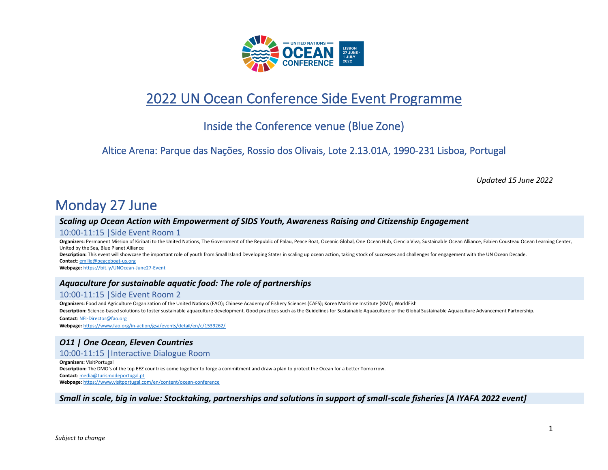

# 2022 UN Ocean Conference Side Event Programme

# Inside the Conference venue (Blue Zone)

# Altice Arena: Parque das Nações, Rossio dos Olivais, Lote 2.13.01A, 1990-231 Lisboa, Portugal

*Updated 15 June 2022*

# Monday 27 June

# *Scaling up Ocean Action with Empowerment of SIDS Youth, Awareness Raising and Citizenship Engagement*

#### 10:00-11:15 |Side Event Room 1

Organizers: Permanent Mission of Kiribati to the United Nations, The Government of the Republic of Palau, Peace Boat, Oceanic Global, One Ocean Hub, Ciencia Viva, Sustainable Ocean Alliance, Fabien Cousteau Ocean Learning United by the Sea, Blue Planet Alliance **Description:** This event will showcase the important role of youth from Small Island Developing States in scaling up ocean action, taking stock of successes and challenges for engagement with the UN Ocean Decade. **Contact**[: emilie@peaceboat-us.org](mailto:emilie@peaceboat-us.org) **Webpage:** <https://bit.ly/UNOcean-June27-Event>

# *Aquaculture for sustainable aquatic food: The role of partnerships*

# 10:00-11:15 |Side Event Room 2

**Organizers:** Food and Agriculture Organization of the United Nations (FAO); Chinese Academy of Fishery Sciences (CAFS); Korea Maritime Institute (KMI); WorldFish

**Description:** Science-based solutions to foster sustainable aquaculture development. Good practices such as the Guidelines for Sustainable Aquaculture or the Global Sustainable Aquaculture Advancement Partnership. **Contact**[: NFI-Director@fao.org](mailto:NFI-Director@fao.org)

**Webpage:** <https://www.fao.org/in-action/gsa/events/detail/en/c/1539262/>

# *O11 | One Ocean, Eleven Countries*

10:00-11:15 |Interactive Dialogue Room

**Organizers:** VisitPortugal **Description:** The DMO's of the top EEZ countries come together to forge a commitment and draw a plan to protect the Ocean for a better Tomorrow. **Contact**[: media@turismodeportugal.pt](mailto:media@turismodeportugal.pt) **Webpage:** <https://www.visitportugal.com/en/content/ocean-conference>

*Small in scale, big in value: Stocktaking, partnerships and solutions in support of small-scale fisheries [A IYAFA 2022 event]*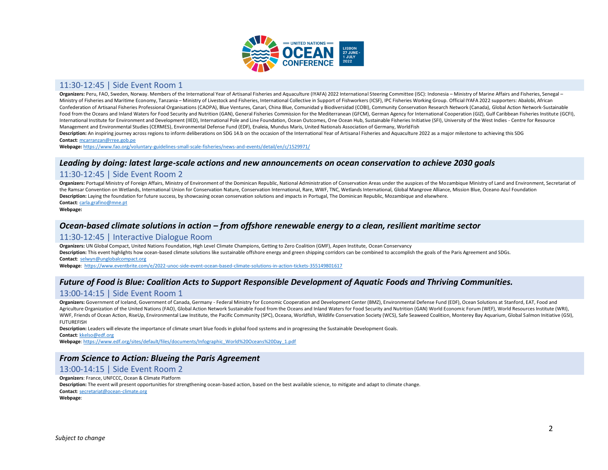

## 11:30-12:45 | Side Event Room 1

Organizers: Peru, FAO, Sweden, Norway. Members of the International Year of Artisanal Fisheries and Aquaculture (IYAFA) 2022 International Steering Committee (ISC): Indonesia - Ministry of Marine Affairs and Fisheries, Sen Ministry of Fisheries and Maritime Economy, Tanzania - Ministry of Livestock and Fisheries, International Collective in Support of Fishworkers (ICSF), IPC Fisheries Working Group. Official IYAFA 2022 supporters: Abalobi, A Confederation of Artisanal Fisheries Professional Organisations (CAOPA), Blue Ventures, Canari, China Blue, Comunidad y Biodiversidad (COBI), Community Conservation Research Network (Canada), Global Action Network-Sustaina Food from the Oceans and Inland Waters for Food Security and Nutrition (GAN). General Fisheries Commission for the Mediterranean (GFCM). German Agency for International Cooperation (GIZ). Gulf Caribbean Fisheries Institute International Institute for Environment and Development (IIED), International Pole and Line Foundation, Ocean Outcomes, One Ocean Hub, Sustainable Fisheries Initiative (SFI), University of the West Indies - Centre for Reso Management and Environmental Studies (CERMES), Environmental Defense Fund (EDF), Enaleia, Mundus Maris, United Nationals Association of Germany, WorldFish

Description: An inspiring journey across regions to inform deliberations on SDG 14.b on the occasion of the International Year of Artisanal Fisheries and Aquaculture 2022 as a major milestone to achieving this SDG **Contact**[: mcarranzan@rree.gob.pe](mailto:mcarranzan@rree.gob.pe)

**Webpage:** <https://www.fao.org/voluntary-guidelines-small-scale-fisheries/news-and-events/detail/en/c/1529971/>

### *Leading by doing: latest large-scale actions and new announcements on ocean conservation to achieve 2030 goals*

#### 11:30-12:45 | Side Event Room 2

Organizers: Portugal Ministry of Foreign Affairs, Ministry of Environment of the Dominican Republic, National Administration of Conservation Areas under the auspices of the Mozambique Ministry of Land and Environment, Secr the Ramsar Convention on Wetlands, International Union for Conservation Nature, Conservation International, Rare, WWF, TNC, Wetlands International, Global Mangrove Alliance, Mission Blue, Oceano Azul Foundation **Description:** Laying the foundation for future success, by showcasing ocean conservation solutions and impacts in Portugal, The Dominican Republic, Mozambique and elsewhere. **Contact**[: carla.grafino@mne.pt](mailto:carla.grafino@mne.pt)

**Webpage:**

#### *Ocean-based climate solutions in action – from offshore renewable energy to a clean, resilient maritime sector*

#### 11:30-12:45 | Interactive Dialogue Room

**Organizers:** UN Global Compact, United Nations Foundation, High Level Climate Champions, Getting to Zero Coalition (GMF), Aspen Institute, Ocean Conservancy Description: This event highlights how ocean-based climate solutions like sustainable offshore energy and green shipping corridors can be combined to accomplish the goals of the Paris Agreement and SDGs. **Contact**: [selwyn@unglobalcompact.org](mailto:selwyn@unglobalcompact.org)

**Webpage**:<https://www.eventbrite.com/e/2022-unoc-side-event-ocean-based-climate-solutions-in-action-tickets-355149801617>

# *Future of Food is Blue: Coalition Acts to Support Responsible Development of Aquatic Foods and Thriving Communities.*

#### 13:00-14:15 | Side Event Room 1

Organizers: Government of Iceland, Government of Canada, Germany - Federal Ministry for Economic Cooperation and Development Center (BMZ), Environmental Defense Fund (EDF), Ocean Solutions at Stanford, EAT, Food and Agriculture Organization of the United Nations (FAO), Global Action Network Sustainable Food from the Oceans and Inland Waters for Food Security and Nutrition (GAN) World Economic Forum (WEF), World Resources Institute (WR WWF, Friends of Ocean Action, RiseUp, Environmental Law Institute, the Pacific Community (SPC), Oceana, Worldfish, Wildlife Conservation Society (WCS), Safe Seaweed Coalition, Monterey Bay Aquarium, Global Salmon Initiativ FUTUREFISH

**Description:** Leaders will elevate the importance of climate smart blue foods in global food systems and in progressing the Sustainable Development Goals.

**Contact**[: kkelso@edf.org](mailto:kkelso@edf.org)

**Webpage**[: https://www.edf.org/sites/default/files/documents/Infographic\\_World%20Oceans%20Day\\_1.pdf](https://www.edf.org/sites/default/files/documents/Infographic_World%20Oceans%20Day_1.pdf)

### *From Science to Action: Blueing the Paris Agreement*

#### 13:00-14:15 | Side Event Room 2

**Organizers**: France, UNFCCC, Ocean & Climate Platform

**Description:** The event will present opportunities for strengthening ocean-based action, based on the best available science, to mitigate and adapt to climate change.

**Contact**[: secretariat@ocean-climate.org](mailto:secretariat@ocean-climate.org)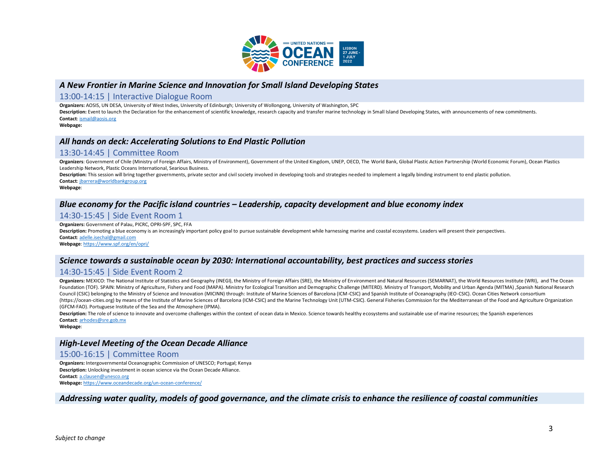

#### *A New Frontier in Marine Science and Innovation for Small Island Developing States*

#### 13:00-14:15 | Interactive Dialogue Room

**Organizers:** AOSIS, UN DESA, University of West Indies, University of Edinburgh; University of Wollongong, University of Washington, SPC

Description: Event to launch the Declaration for the enhancement of scientific knowledge, research capacity and transfer marine technology in Small Island Developing States, with announcements of new commitments. **Contact**[: ismail@aosis.org](mailto:ismail@aosis.org)

**Webpage:**

#### *All hands on deck: Accelerating Solutions to End Plastic Pollution*

#### 13:30-14:45 | Committee Room

Organizers: Government of Chile (Ministry of Foreign Affairs, Ministry of Environment), Government of the United Kingdom, UNEP, OECD, The World Bank, Global Plastic Action Partnership (World Economic Forum), Ocean Plastics Leadership Network, Plastic Oceans International, Searious Business.

Description: This session will bring together governments, private sector and civil society involved in developing tools and strategies needed to implement a legally binding instrument to end plastic pollution. **Contact**: [jbarrera@worldbankgroup.org](mailto:jbarrera@worldbankgroup.org)

**Webpage**:

# *Blue economy for the Pacific island countries – Leadership, capacity development and blue economy index*

#### 14:30-15:45 | Side Event Room 1

**Organizers:** Government of Palau, PICRC, OPRI-SPF, SPC, FFA

Description: Promoting a blue economy is an increasingly important policy goal to pursue sustainable development while harnessing marine and coastal ecosystems. Leaders will present their perspectives. **Contact**: [adelle.isechal@gmail.com](mailto:adelle.isechal@gmail.com)

**Webpage**[: https://www.spf.org/en/opri/](https://www.spf.org/en/opri/)

### *Science towards a sustainable ocean by 2030: International accountability, best practices and success stories*

#### 14:30-15:45 | Side Event Room 2

Organizers: MEXICO: The National Institute of Statistics and Geography (INEGI), the Ministry of Foreign Affairs (SRE), the Ministry of Environment and Natural Resources (SEMARNAT), the World Resources Institute (WRI), and Foundation (TOF). SPAIN: Ministry of Agriculture, Fishery and Food (MAPA). Ministry for Ecological Transition and Demographic Challenge (MITERD). Ministry of Transport, Mobility and Urban Agenda (MITMA) , Spanish National Council (CSIC) belonging to the Ministry of Science and Innovation (MICINN) through: Institute of Marine Sciences of Barcelona (ICM-CSIC) and Spanish Institute of Oceanography (IEO-CSIC). Ocean Cities Network consortium (https://ocean-cities.org) by means of the Institute of Marine Sciences of Barcelona (ICM-CSIC) and the Marine Technology Unit (UTM-CSIC). General Fisheries Commission for the Mediterranean of the Food and Agriculture Orga (GFCM-FAO). Portuguese Institute of the Sea and the Atmosphere (IPMA).

Description: The role of science to innovate and overcome challenges within the context of ocean data in Mexico. Science towards healthy ecosystems and sustainable use of marine resources; the Spanish experiences **Contact**[: arhodes@sre.gob.mx](mailto:arhodes@sre.gob.mx)

**Webpage**:

#### *High-Level Meeting of the Ocean Decade Alliance*

#### 15:00-16:15 | Committee Room

**Organizers:** Intergovernmental Oceanographic Commission of UNESCO; Portugal; Kenya **Description:** Unlocking investment in ocean science via the Ocean Decade Alliance. **Contact**[: a.clausen@unesco.org](mailto:a.clausen@unesco.org) **Webpage:** <https://www.oceandecade.org/un-ocean-conference/>

#### *Addressing water quality, models of good governance, and the climate crisis to enhance the resilience of coastal communities*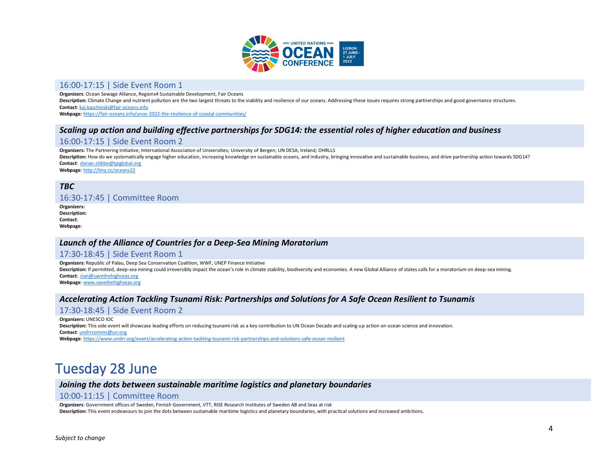

### 16:00-17:15 | Side Event Room 1

**Organizers**: Ocean Sewage Alliance, Regions4 Sustainable Development, Fair Oceans

Description: Climate Change and nutrient pollution are the two largest threats to the viability and resilience of our oceans. Addressing these issues requires strong partnerships and good governance structures. **Contact**: [kai.kaschinski@fair-oceans.info](mailto:kai.kaschinski@fair-oceans.info)

**Webpage**[: https://fair-oceans.info/unoc-2022-the-resilience-of-coastal-communities/](https://fair-oceans.info/unoc-2022-the-resilience-of-coastal-communities/)

# *Scaling up action and building effective partnerships for SDG14: the essential roles of higher education and business*

### 16:00-17:15 | Side Event Room 2

**Organizers:** The Partnering Initiative; International Association of Universities; University of Bergen; UN DESA; Ireland; OHRLLS

**Description:** How do we systematically engage higher education, increasing knowledge on sustainable oceans, and industry, bringing innovative and sustainable business, and drive partnership action towards SDG14? **Contact**: [darian.stibbe@tpiglobal.org](mailto:darian.stibbe@tpiglobal.org)

**Webpage**[: http://tiny.cc/oceans22](http://tiny.cc/oceans22)

# *TBC*

#### 16:30-17:45 | Committee Room

**Organizers: Description: Contact**: **Webpage**:

### *Launch of the Alliance of Countries for a Deep-Sea Mining Moratorium*

#### 17:30-18:45 | Side Event Room 1

**Organizers:** Republic of Palau, Deep Sea Conservation Coalition, WWF, UNEP Finance Initiative

Description: If permitted, deep-sea mining could irreversibly impact the ocean's role in climate stability, biodiversity and economies. A new Global Alliance of states calls for a moratorium on deep-sea mining. **Contact**: [sian@savethehighseas.org](mailto:sian@savethehighseas.org)

**Webpage**[: www.savethehighseas.org](http://www.savethehighseas.org/)

### *Accelerating Action Tackling Tsunami Risk: Partnerships and Solutions for A Safe Ocean Resilient to Tsunamis*

### 17:30-18:45 | Side Event Room 2

**Organizers:** UNESCO IOC

**Description:** This side event will showcase leading efforts on reducing tsunami risk as a key contribution to UN Ocean Decade and scaling up action on ocean science and innovation. **Contact**: [undrrcomms@un.org](mailto:undrrcomms@un.org)

**Webpage**[: https://www.undrr.org/event/accelerating-action-tackling-tsunami-risk-partnerships-and-solutions-safe-ocean-resilient](https://www.undrr.org/event/accelerating-action-tackling-tsunami-risk-partnerships-and-solutions-safe-ocean-resilient)

# Tuesday 28 June

### *Joining the dots between sustainable maritime logistics and planetary boundaries*

#### 10:00-11:15 | Committee Room

**Organizers**: Government offices of Sweden, Finnish Government, VTT, RISE Research Institutes of Sweden AB and Seas at risk

**Description:** This event endeavours to join the dots between sustainable maritime logistics and planetary boundaries, with practical solutions and increased ambitions.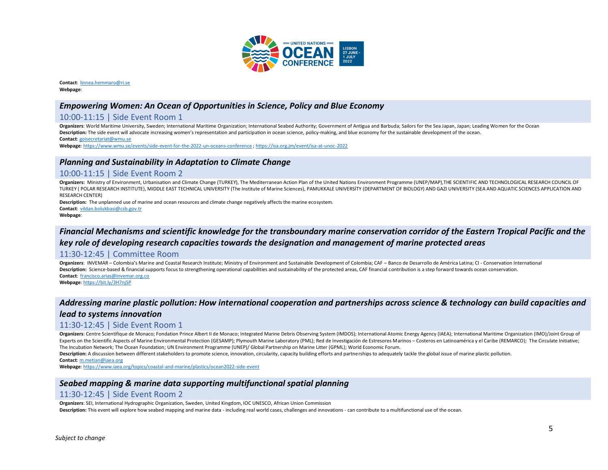

**Contact**: [linnea.hemmaro@ri.se](mailto:linnea.hemmaro@ri.se) **Webpage**:

#### *Empowering Women: An Ocean of Opportunities in Science, Policy and Blue Economy*

# 10:00-11:15 | Side Event Room 1

**Organizers**: World Maritime University, Sweden; International Maritime Organization; International Seabed Authority; Government of Antigua and Barbuda; Sailors for the Sea Japan, Japan; Leading Women for the Ocean **Description:** The side event will advocate increasing women's representation and participation in ocean science, policy-making, and blue economy for the sustainable development of the ocean. **Contact**: [goisecretariat@wmu.se](mailto:goisecretariat@wmu.se)

**Webpage**[: https://www.wmu.se/events/side-event-for-the-2022-un-oceans-conference](https://www.wmu.se/events/side-event-for-the-2022-un-oceans-conference) [; https://isa.org.jm/event/isa-at-unoc-2022](https://isa.org.jm/event/isa-at-unoc-2022)

#### *Planning and Sustainability in Adaptation to Climate Change*

#### 10:00-11:15 | Side Event Room 2

**Organizers:** Ministry of Environment, Urbanisation and Climate Change (TURKEY), The Mediterranean Action Plan of the United Nations Environment Programme (UNEP/MAP),THE SCIENTIFIC AND TECHNOLOGICAL RESEARCH COUNCIL OF TURKEY ( POLAR RESEARCH INSTITUTE), MIDDLE EAST TECHNICAL UNIVERSITY (The Institute of Marine Sciences), PAMUKKALE UNIVERSİTY (DEPARTMENT OF BIOLOGY) AND GAZI UNIVERSITY (SEA AND AQUATIC SCIENCES APPLICATION AND RESEARCH CENTER)

**Description:** The unplanned use of marine and ocean resources and climate change negatively affects the marine ecosystem. **Contact**: [vildan.bolukbasi@csb.gov.tr](mailto:vildan.bolukbasi@csb.gov.tr)

#### **Webpage**:

# *Financial Mechanisms and scientific knowledge for the transboundary marine conservation corridor of the Eastern Tropical Pacific and the key role of developing research capacities towards the designation and management of marine protected areas*

#### 11:30-12:45 | Committee Room

**Organizers**: INVEMAR – Colombia's Marine and Coastal Research Institute; Ministry of Environment and Sustainable Development of Colombia; CAF – Banco de Desarrollo de América Latina; CI - Conservation International Description: Science-based & financial supports focus to strengthening operational capabilities and sustainability of the protected areas, CAF financial contribution is a step forward towards ocean conservation. **Contact**: [francisco.arias@invemar.org.co](mailto:francisco.arias@invemar.org.co) **Webpage**[: https://bit.ly/3H7njSP](https://bit.ly/3H7njSP)

# *Addressing marine plastic pollution: How international cooperation and partnerships across science & technology can build capacities and lead to systems innovation*

# 11:30-12:45 | Side Event Room 1

Organizers: Centre Scientifique de Monaco; Fondation Prince Albert II de Monaco; Integrated Marine Debris Observing System (IMDOS); International Atomic Energy Agency (IAEA); International Maritime Organization (IMO)/Joint Experts on the Scientific Aspects of Marine Environmental Protection (GESAMP); Plymouth Marine Laboratory (PML); Red de Investigación de Estresores Marinos - Costeros en Latinoamérica y el Caribe (REMARCO); The Circulate I The Incubation Network; The Ocean Foundation; UN Environment Programme (UNEP)/ Global Partnership on Marine Litter (GPML); World Economic Forum.

Description: A discussion between different stakeholders to promote science, innovation, circularity, capacity building efforts and partnerships to adequately tackle the global issue of marine plastic pollution.

**Contact**[: m.metian@iaea.org](mailto:m.metian@iaea.org)

**Webpage**[: https://www.iaea.org/topics/coastal-and-marine/plastics/ocean2022-side-event](https://www.iaea.org/topics/coastal-and-marine/plastics/ocean2022-side-event)

### *Seabed mapping & marine data supporting multifunctional spatial planning*

#### 11:30-12:45 | Side Event Room 2

**Organizers**: SEI, International Hydrographic Organization, Sweden, United Kingdom, IOC UNESCO, African Union Commission

**Description:** This event will explore how seabed mapping and marine data - including real world cases, challenges and innovations - can contribute to a multifunctional use of the ocean.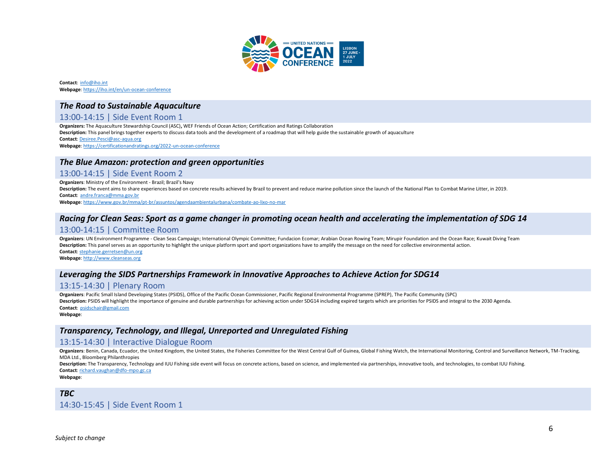

**Contact**: [info@iho.int](mailto:info@iho.int) **Webpage**[: https://iho.int/en/un-ocean-conference](https://iho.int/en/un-ocean-conference)

### *The Road to Sustainable Aquaculture*

# 13:00-14:15 | Side Event Room 1

**Organizers:** The Aquaculture Stewardship Council (ASC)**,** WEF Friends of Ocean Action; Certification and Ratings Collaboration **Description:** This panel brings together experts to discuss data tools and the development of a roadmap that will help guide the sustainable growth of aquaculture **Contact**: [Desiree.Pesci@asc-aqua.org](mailto:Desiree.Pesci@asc-aqua.org) **Webpage**[: https://certificationandratings.org/2022-un-ocean-conference](https://certificationandratings.org/2022-un-ocean-conference)

#### *The Blue Amazon: protection and green opportunities*

#### 13:00-14:15 | Side Event Room 2

**Organizers**: Ministry of the Environment - Brazil; Brazil's Navy **Description:** The event aims to share experiences based on concrete results achieved by Brazil to prevent and reduce marine pollution since the launch of the National Plan to Combat Marine Litter, in 2019. **Contact**: [andre.franca@mma.gov.br](mailto:andre.franca@mma.gov.br)

**Webpage**[: https://www.gov.br/mma/pt-br/assuntos/agendaambientalurbana/combate-ao-lixo-no-mar](https://www.gov.br/mma/pt-br/assuntos/agendaambientalurbana/combate-ao-lixo-no-mar)

# *Racing for Clean Seas: Sport as a game changer in promoting ocean health and accelerating the implementation of SDG 14*

### 13:00-14:15 | Committee Room

**Organizers**: UN Environment Programme - Clean Seas Campaign; International Olympic Committee; Fundacion Ecomar; Arabian Ocean Rowing Team; Mirupir Foundation and the Ocean Race; Kuwait Diving Team **Description:** This panel serves as an opportunity to highlight the unique platform sport and sport organizations have to amplify the message on the need for collective environmental action. **Contact**: [stephanie.gerretsen@un.org](mailto:stephanie.gerretsen@un.org)

**Webpage**[: http://www.cleanseas.org](http://www.cleanseas.org/)

#### *Leveraging the SIDS Partnerships Framework in Innovative Approaches to Achieve Action for SDG14*

### 13:15-14:30 | Plenary Room

**Organizers**: Pacific Small Island Developing States (PSIDS), Office of the Pacific Ocean Commissioner, Pacific Regional Environmental Programme (SPREP), The Pacific Community (SPC) **Description:** PSIDS will highlight the importance of genuine and durable partnerships for achieving action under SDG14 including expired targets which are priorities for PSIDS and integral to the 2030 Agenda. **Contact**: [psidschair@gmail.com](mailto:psidschair@gmail.com)

#### **Webpage**:

#### *Transparency, Technology, and Illegal, Unreported and Unregulated Fishing*

#### 13:15-14:30 | Interactive Dialogue Room

Organizers: Benin, Canada, Ecuador, the United Kingdom, the United States, the Fisheries Committee for the West Central Gulf of Guinea, Global Fishing Watch, the International Monitoring, Control and Surveillance Network, MDA Ltd., Bloomberg Philanthropies

Description: The Transparency, Technology and IUU Fishing side event will focus on concrete actions, based on science, and implemented via partnerships, innovative tools, and technologies, to combat IUU Fishing. **Contact**: [richard.vaughan@dfo-mpo.gc.ca](mailto:richard.vaughan@dfo-mpo.gc.ca)

**Webpage**:

### *TBC* 14:30-15:45 | Side Event Room 1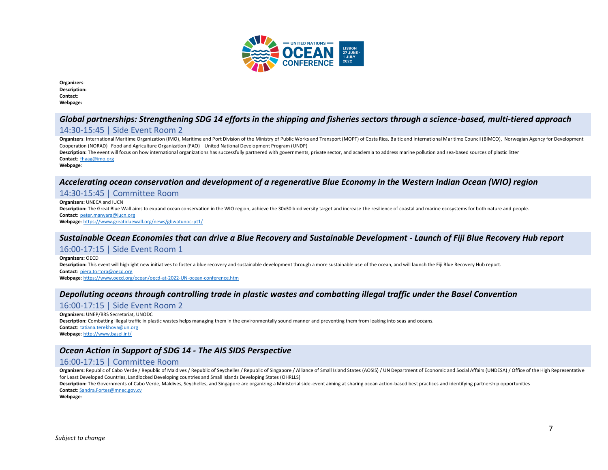

| Organizers:         |
|---------------------|
| <b>Description:</b> |
| <b>Contact:</b>     |
| Webpage:            |

# *Global partnerships: Strengthening SDG 14 efforts in the shipping and fisheries sectors through a science-based, multi-tiered approach*

### 14:30-15:45 | Side Event Room 2

Organizers: International Maritime Organization (IMO), Maritime and Port Division of the Ministry of Public Works and Transport (MOPT) of Costa Rica, Baltic and International Maritime Council (BIMCO), Norwegian Agency for Cooperation (NORAD) Food and Agriculture Organization (FAO) United National Development Program (UNDP)

Description: The event will focus on how international organizations has successfully partnered with governments, private sector, and academia to address marine pollution and sea-based sources of plastic litter **Contact**: [fhaag@imo.org](mailto:fhaag@imo.org) 

**Webpage**:

# *Accelerating ocean conservation and development of a regenerative Blue Economy in the Western Indian Ocean (WIO) region*

#### 14:30-15:45 | Committee Room

**Organizers:** UNECA and IUCN **Description:** The Great Blue Wall aims to expand ocean conservation in the WIO region, achieve the 30x30 biodiversity target and increase the resilience of coastal and marine ecosystems for both nature and people. **Contact**: [peter.manyara@iucn.org](mailto:peter.manyara@iucn.org)

**Webpage**[: https://www.greatbluewall.org/news/gbwatunoc-pt1/](https://www.greatbluewall.org/news/gbwatunoc-pt1/)

#### *Sustainable Ocean Economies that can drive a Blue Recovery and Sustainable Development - Launch of Fiji Blue Recovery Hub report*

#### 16:00-17:15 | Side Event Room 1

**Organizers:** OECD Description: This event will highlight new initiatives to foster a blue recovery and sustainable development through a more sustainable use of the ocean, and will launch the Fiji Blue Recovery Hub report. **Contact**: [piera.tortora@oecd.org](mailto:piera.tortora@oecd.org)

**Webpage**[: https://www.oecd.org/ocean/oecd-at-2022-UN-ocean-conference.htm](https://www.oecd.org/ocean/oecd-at-2022-UN-ocean-conference.htm)

### *Depolluting oceans through controlling trade in plastic wastes and combatting illegal traffic under the Basel Convention*

### 16:00-17:15 | Side Event Room 2

**Organizers:** UNEP/BRS Secretariat, UNODC **Description:** Combatting illegal traffic in plastic wastes helps managing them in the environmentally sound manner and preventing them from leaking into seas and oceans. **Contact**: [tatiana.terekhova@un.org](mailto:tatiana.terekhova@un.org) **Webpage**[: http://www.basel.int/](http://www.basel.int/)

## *Ocean Action in Support of SDG 14 - The AIS SIDS Perspective*

### 16:00-17:15 | Committee Room

Organizers: Republic of Cabo Verde / Republic of Maldives / Republic of Seychelles / Republic of Singapore / Alliance of Small Island States (AOSIS) / UN Department of Economic and Social Affairs (UNDESA) / Office of the H for Least Developed Countries, Landlocked Developing countries and Small Islands Developing States (OHRLLS)

**Description:** The Governments of Cabo Verde, Maldives, Seychelles, and Singapore are organizing a Ministerial side-event aiming at sharing ocean action-based best practices and identifying partnership opportunities **Contact**: [Sandra.Fortes@mnec.gov.cv](mailto:Sandra.Fortes@mnec.gov.cv)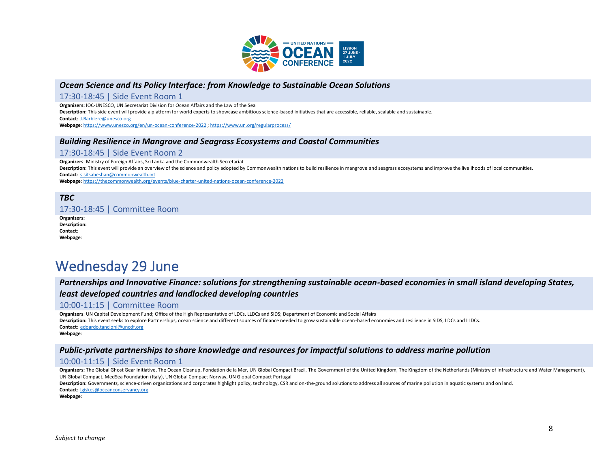

# *Ocean Science and Its Policy Interface: from Knowledge to Sustainable Ocean Solutions*

#### 17:30-18:45 | Side Event Room 1

**Organizers:** IOC-UNESCO, UN Secretariat Division for Ocean Affairs and the Law of the Sea

**Description:** This side event will provide a platform for world experts to showcase ambitious science-based initiatives that are accessible, reliable, scalable and sustainable.

**Contact**: [J.Barbiere@unesco.org](mailto:J.Barbiere@unesco.org)

**Webpage**[: https://www.unesco.org/en/un-ocean-conference-2022](https://www.unesco.org/en/un-ocean-conference-2022) [; https://www.un.org/regularprocess/](https://www.un.org/regularprocess/)

# *Building Resilience in Mangrove and Seagrass Ecosystems and Coastal Communities*

#### 17:30-18:45 | Side Event Room 2

**Organizers**: Ministry of Foreign Affairs, Sri Lanka and the Commonwealth Secretariat **Description:** This event will provide an overview of the science and policy adopted by Commonwealth nations to build resilience in mangrove and seagrass ecosystems and improve the livelihoods of local communities. **Contact**: [s.sitsabeshan@commonwealth.int](mailto:s.sitsabeshan@commonwealth.int) **Webpage**[: https://thecommonwealth.org/events/blue-charter-united-nations-ocean-conference-2022](https://thecommonwealth.org/events/blue-charter-united-nations-ocean-conference-2022)

#### *TBC*

# 17:30-18:45 | Committee Room

**Organizers: Description: Contact**: **Webpage**:

# Wednesday 29 June

*Partnerships and Innovative Finance: solutions for strengthening sustainable ocean-based economies in small island developing States,* 

#### *least developed countries and landlocked developing countries*

#### 10:00-11:15 | Committee Room

**Organizers**: UN Capital Development Fund; Office of the High Representative of LDCs, LLDCs and SIDS; Department of Economic and Social Affairs **Description:** This event seeks to explore Partnerships, ocean science and different sources of finance needed to grow sustainable ocean-based economies and resilience in SIDS, LDCs and LLDCs. **Contact**: [edoardo.tancioni@uncdf.org](mailto:edoardo.tancioni@uncdf.org) **Webpage**:

### *Public-private partnerships to share knowledge and resources for impactful solutions to address marine pollution*

### 10:00-11:15 | Side Event Room 1

Organizers: The Global Ghost Gear Initiative, The Ocean Cleanup, Fondation de la Mer, UN Global Compact Brazil, The Government of the United Kingdom, The Kingdom of the Netherlands (Ministry of Infrastructure and Water Man UN Global Compact, MedSea Foundation (Italy), UN Global Compact Norway, UN Global Compact Portugal

**Description:** Governments, science-driven organizations and corporates highlight policy, technology, CSR and on-the-ground solutions to address all sources of marine pollution in aquatic systems and on land. **Contact**: [Igiskes@oceanconservancy.org](mailto:Igiskes@oceanconservancy.org)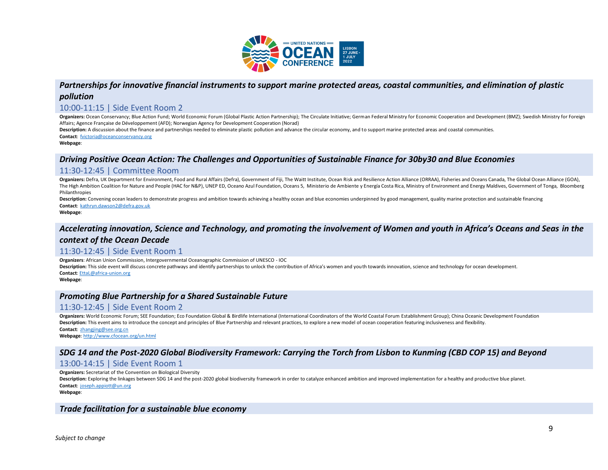

# *Partnerships for innovative financial instruments to support marine protected areas, coastal communities, and elimination of plastic pollution*

#### 10:00-11:15 | Side Event Room 2

Organizers: Ocean Conservancy; Blue Action Fund; World Economic Forum (Global Plastic Action Partnership); The Circulate Initiative; German Federal Ministry for Economic Cooperation and Development (BMZ); Swedish Ministry Affairs; Agence Française de Développement (AFD); Norwegian Agency for Development Cooperation (Norad)

**Description:** A discussion about the finance and partnerships needed to eliminate plastic pollution and advance the circular economy, and to support marine protected areas and coastal communities. **Contact**: [fvictoria@oceanconservancy.org](mailto:fvictoria@oceanconservancy.org)

**Webpage**:

# *Driving Positive Ocean Action: The Challenges and Opportunities of Sustainable Finance for 30by30 and Blue Economies*

### 11:30-12:45 | Committee Room

Organizers: Defra, UK Department for Environment, Food and Rural Affairs (Defra), Government of Fiji, The Waitt Institute, Ocean Risk and Resilience Action Alliance (ORRAA), Fisheries and Oceans Canada, The Global Ocean Al The High Ambition Coalition for Nature and People (HAC for N&P), UNEP ED, Oceano Azul Foundation, Oceans 5, Ministerio de Ambiente y Energía Costa Rica, Ministry of Environment and Energy Maldives, Government of Tonga, Blo Philanthropies

Description: Convening ocean leaders to demonstrate progress and ambition towards achieving a healthy ocean and blue economies underpinned by good management, quality marine protection and sustainable financing **Contact**: [kathryn.dawson2@defra.gov.uk](mailto:kathryn.dawson2@defra.gov.uk)

**Webpage**:

# *Accelerating innovation, Science and Technology, and promoting the involvement of Women and youth in Africa's Oceans and Seas in the*

#### *context of the Ocean Decade*

#### 11:30-12:45 | Side Event Room 1

**Organizers**: African Union Commission, Intergovernmental Oceanographic Commission of UNESCO - IOC

**Description:** This side event will discuss concrete pathways and identify partnerships to unlock the contribution of Africa's women and youth towards innovation, science and technology for ocean development. **Contact**: [EttaL@africa-union.org](mailto:EttaL@africa-union.org)

**Webpage**:

### *Promoting Blue Partnership for a Shared Sustainable Future*

# 11:30-12:45 | Side Event Room 2

**Organizers:** World Economic Forum; SEE Foundation; Eco Foundation Global & Birdlife International (International Coordinators of the World Coastal Forum Establishment Group); China Oceanic Development Foundation **Description:** This event aims to introduce the concept and principles of Blue Partnership and relevant practices, to explore a new model of ocean cooperation featuring inclusiveness and flexibility. **Contact**: [zhangjing@see.org.cn](mailto:zhangjing@see.org.cn)

**Webpage**[: http://www.cfocean.org/un.html](http://www.cfocean.org/un.html)

### *SDG 14 and the Post-2020 Global Biodiversity Framework: Carrying the Torch from Lisbon to Kunming (CBD COP 15) and Beyond*

### 13:00-14:15 | Side Event Room 1

**Organizers:** Secretariat of the Convention on Biological Diversity

**Description:** Exploring the linkages between SDG 14 and the post-2020 global biodiversity framework in order to catalyze enhanced ambition and improved implementation for a healthy and productive blue planet. **Contact**: [joseph.appiott@un.org](mailto:joseph.appiott@un.org)

**Webpage**:

#### *Trade facilitation for a sustainable blue economy*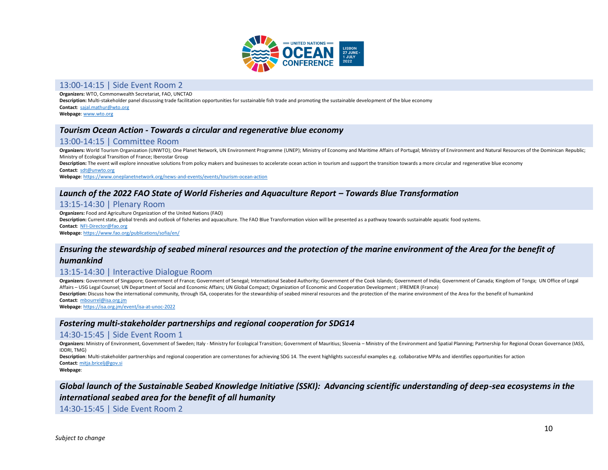

#### 13:00-14:15 | Side Event Room 2

**Organizers:** WTO, Commonwealth Secretariat, FAO, UNCTAD

**Description:** Multi-stakeholder panel discussing trade facilitation opportunities for sustainable fish trade and promoting the sustainable development of the blue economy

**Contact**: [sajal.mathur@wto.org](mailto:sajal.mathur@wto.org) **Webpage**[: www.wto.org](http://www.wto.org/)

#### *Tourism Ocean Action - Towards a circular and regenerative blue economy*

#### 13:00-14:15 | Committee Room

Organizers: World Tourism Organization (UNWTO); One Planet Network, UN Environment Programme (UNEP); Ministry of Economy and Maritime Affairs of Portugal; Ministry of Environment and Natural Resources of the Dominican Repu Ministry of Ecological Transition of France; Iberostar Group

Description: The event will explore innovative solutions from policy makers and businesses to accelerate ocean action in tourism and support the transition towards a more circular and regenerative blue economy

**Contact**: [sdt@unwto.org](mailto:sdt@unwto.org)

**Webpage**[: https://www.oneplanetnetwork.org/news-and-events/events/tourism-ocean-action](https://www.oneplanetnetwork.org/news-and-events/events/tourism-ocean-action)

#### *Launch of the 2022 FAO State of World Fisheries and Aquaculture Report – Towards Blue Transformation*

#### 13:15-14:30 | Plenary Room

**Organizers:** Food and Agriculture Organization of the United Nations (FAO)

Description: Current state, global trends and outlook of fisheries and aquaculture. The FAO Blue Transformation vision will be presented as a pathway towards sustainable aquatic food systems.

**Contact**: [NFI-Director@fao.org](mailto:NFI-Director@fao.org)

**Webpage**[: https://www.fao.org/publications/sofia/en/](https://www.fao.org/publications/sofia/en/)

#### *Ensuring the stewardship of seabed mineral resources and the protection of the marine environment of the Area for the benefit of*

#### *humankind*

#### 13:15-14:30 | Interactive Dialogue Room

Organizers: Government of Singapore; Government of France; Government of Senegal; International Seabed Authority; Government of the Cook Islands; Government of India; Government of Canada; Kingdom of Tonga; UN Office of Le Affairs – USG Legal Counsel; UN Department of Social and Economic Affairs; UN Global Compact; Organization of Economic and Cooperation Development ; IFREMER (France)

**Description:** Discuss how the international community, through ISA, cooperates for the stewardship of seabed mineral resources and the protection of the marine environment of the Area for the benefit of humankind **Contact**: [mbourrel@isa.org.jm](mailto:mbourrel@isa.org.jm)

**Webpage**[: https://isa.org.jm/event/isa-at-unoc-2022](https://isa.org.jm/event/isa-at-unoc-2022)

#### *Fostering multi-stakeholder partnerships and regional cooperation for SDG14*

#### 14:30-15:45 | Side Event Room 1

Organizers: Ministry of Environment, Government of Sweden; Italy - Ministry for Ecological Transition; Government of Mauritius; Slovenia - Ministry of the Environment and Spatial Planning; Partnership for Regional Ocean Go IDDRI, TMG)

Description: Multi-stakeholder partnerships and regional cooperation are cornerstones for achieving SDG 14. The event highlights successful examples e.g. collaborative MPAs and identifies opportunities for action **Contact**: [mitja.bricelj@gov.si](mailto:mitja.bricelj@gov.si)

**Webpage**:

# *Global launch of the Sustainable Seabed Knowledge Initiative (SSKI): Advancing scientific understanding of deep-sea ecosystems in the international seabed area for the benefit of all humanity*

14:30-15:45 | Side Event Room 2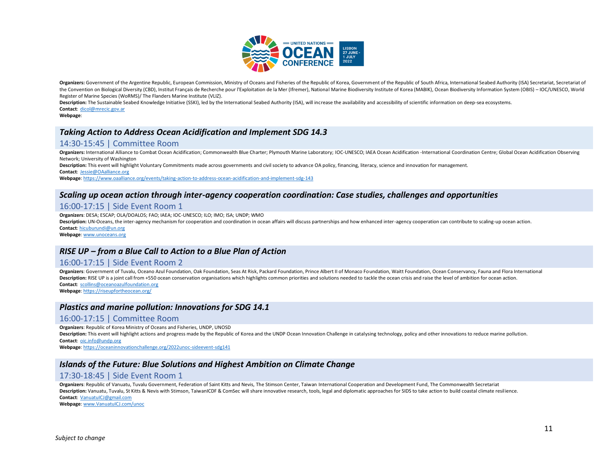

Organizers: Government of the Argentine Republic, European Commission, Ministry of Oceans and Fisheries of the Republic of Korea, Government of the Republic of South Africa, International Seabed Authority (ISA) Secretariat the Convention on Biological Diversity (CBD), Institut Français de Recherche pour l'Exploitation de la Mer (Ifremer), National Marine Biodiversity Institute of Korea (MABIK), Ocean Biodiversity Information System (OBIS) - Register of Marine Species (WoRMS)/ The Flanders Marine Institute (VLIZ).

Description: The Sustainable Seabed Knowledge Initiative (SSKI), led by the International Seabed Authority (ISA), will increase the availability and accessibility of scientific information on deep-sea ecosystems. **Contact**: [dicol@mrecic.gov.ar](mailto:dicol@mrecic.gov.ar)

**Webpage**:

# *Taking Action to Address Ocean Acidification and Implement SDG 14.3*

#### 14:30-15:45 | Committee Room

Organizers: International Alliance to Combat Ocean Acidification; Commonwealth Blue Charter; Plymouth Marine Laboratory; IOC-UNESCO; IAEA Ocean Acidification -International Coordination Centre; Global Ocean Acidification O Network; University of Washington

Description: This event will highlight Voluntary Commitments made across governments and civil society to advance OA policy, financing, literacy, science and innovation for management.

**Contact**: [Jessie@OAalliance.org](mailto:Jessie@OAalliance.org)

**Webpage**[: https://www.oaalliance.org/events/taking-action-to-address-ocean-acidification-and-implement-sdg-143](https://www.oaalliance.org/events/taking-action-to-address-ocean-acidification-and-implement-sdg-143)

#### *Scaling up ocean action through inter-agency cooperation coordination: Case studies, challenges and opportunities*

#### 16:00-17:15 | Side Event Room 1

**Organizers**: DESA; ESCAP; OLA/DOALOS; FAO; IAEA; IOC-UNESCO; ILO; IMO; ISA; UNDP; WMO

Description: UN-Oceans, the inter-agency mechanism for cooperation and coordination in ocean affairs will discuss partnerships and how enhanced inter-agency cooperation can contribute to scaling-up ocean action. **Contact**: [hicuburundi@un.org](mailto:hicuburundi@un.org)

**Webpage**[: www.unoceans.org](http://www.unoceans.org/)

#### *RISE UP – from a Blue Call to Action to a Blue Plan of Action*

#### 16:00-17:15 | Side Event Room 2

Organizers: Government of Tuvalu, Oceano Azul Foundation, Oak Foundation, Seas At Risk, Packard Foundation, Prince Albert II of Monaco Foundation, Waitt Foundation, Ocean Conservancy, Fauna and Flora International Description: RISE UP is a joint call from +550 ocean conservation organisations which highlights common priorities and solutions needed to tackle the ocean crisis and raise the level of ambition for ocean action. **Contact**: [scollins@oceanoazulfoundation.org](mailto:scollins@oceanoazulfoundation.org)

**Webpage**[: https://riseupfortheocean.org/](https://riseupfortheocean.org/)

### *Plastics and marine pollution: Innovations for SDG 14.1*

#### 16:00-17:15 | Committee Room

**Organizers**: Republic of Korea Ministry of Oceans and Fisheries, UNDP, UNOSD

Description: This event will highlight actions and progress made by the Republic of Korea and the UNDP Ocean Innovation Challenge in catalysing technology, policy and other innovations to reduce marine pollution. **Contact**: [oic.info@undp.org](mailto:oic.info@undp.org)

**Webpage**[: https://oceaninnovationchallenge.org/2022unoc-sideevent-sdg141](https://oceaninnovationchallenge.org/2022unoc-sideevent-sdg141)

#### *Islands of the Future: Blue Solutions and Highest Ambition on Climate Change*

#### 17:30-18:45 | Side Event Room 1

**Organizers**: Republic of Vanuatu, Tuvalu Government, Federation of Saint Kitts and Nevis, The Stimson Center, Taiwan International Cooperation and Development Fund, The Commonwealth Secretariat Description: Vanuatu, Tuvalu, St Kitts & Nevis with Stimson, TaiwanICDF & ComSec will share innovative research, tools, legal and diplomatic approaches for SIDS to take action to build coastal climate resilience. **Contact**: [VanuatuICJ@gmail.com](mailto:VanuatuICJ@gmail.com)

**Webpage**[: www.VanuatuICJ.com/unoc](http://www.vanuatuicj.com/unoc)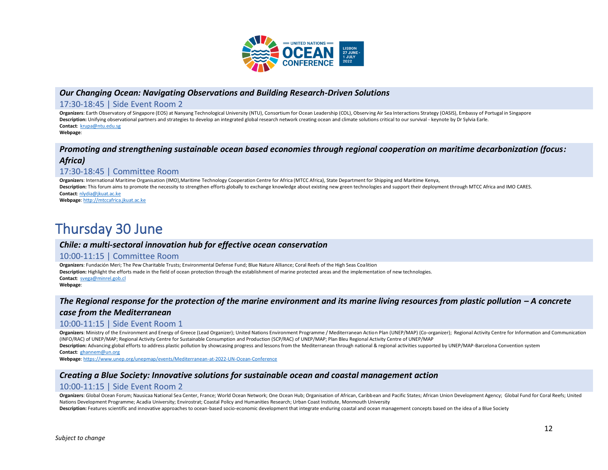

### *Our Changing Ocean: Navigating Observations and Building Research-Driven Solutions*

#### 17:30-18:45 | Side Event Room 2

**Organizers**: Earth Observatory of Singapore (EOS) at Nanyang Technological University (NTU), Consortium for Ocean Leadership (COL), Observing Air Sea Interactions Strategy (OASIS), Embassy of Portugal in Singapore **Description:** Unifying observational partners and strategies to develop an integrated global research network creating ocean and climate solutions critical to our survival - keynote by Dr Sylvia Earle. **Contact**: [krupa@ntu.edu.sg](mailto:krupa@ntu.edu.sg) **Webpage**:

# *Promoting and strengthening sustainable ocean based economies through regional cooperation on maritime decarbonization (focus: Africa)*

# 17:30-18:45 | Committee Room

**Organizers**: International Maritime Organisation (IMO),Maritime Technology Cooperation Centre for Africa (MTCC Africa), State Department for Shipping and Maritime Kenya, **Description:** This forum aims to promote the necessity to strengthen efforts globally to exchange knowledge about existing new green technologies and support their deployment through MTCC Africa and IMO CARES. **Contact**[: nlydia@jkuat.ac.ke](mailto:nlydia@jkuat.ac.ke)

**Webpage**[: http://mtccafrica.jkuat.ac.ke](http://mtccafrica.jkuat.ac.ke/)

# Thursday 30 June

# *Chile: a multi-sectoral innovation hub for effective ocean conservation*

#### 10:00-11:15 | Committee Room

**Organizers**: Fundación Meri; The Pew Charitable Trusts; Environmental Defense Fund; Blue Nature Alliance; Coral Reefs of the High Seas Coalition **Description:** Highlight the efforts made in the field of ocean protection through the establishment of marine protected areas and the implementation of new technologies. **Contact**: [svega@minrel.gob.cl](mailto:svega@minrel.gob.cl) **Webpage**:

# *The Regional response for the protection of the marine environment and its marine living resources from plastic pollution - A concrete case from the Mediterranean*

### 10:00-11:15 | Side Event Room 1

Organizers: Ministry of the Environment and Energy of Greece (Lead Organizer); United Nations Environment Programme / Mediterranean Action Plan (UNEP/MAP) (Co-organizer); Regional Activity Centre for Information and Commun (INFO/RAC) of UNEP/MAP; Regional Activity Centre for Sustainable Consumption and Production (SCP/RAC) of UNEP/MAP; Plan Bleu Regional Activity Centre of UNEP/MAP

Description: Advancing global efforts to address plastic pollution by showcasing progress and lessons from the Mediterranean through national & regional activities supported by UNEP/MAP-Barcelona Convention system **Contact**: [ghannem@un.org](mailto:ghannem@un.org)

**Webpage**[: https://www.unep.org/unepmap/events/Mediterranean-at-2022-UN-Ocean-Conference](https://www.unep.org/unepmap/events/Mediterranean-at-2022-UN-Ocean-Conference)

### *Creating a Blue Society: Innovative solutions for sustainable ocean and coastal management action*

### 10:00-11:15 | Side Event Room 2

Organizers: Global Ocean Forum; Nausicaa National Sea Center, France; World Ocean Network; One Ocean Hub; Organisation of African, Caribbean and Pacific States; African Union Development Agency; Global Fund for Coral Reefs Nations Development Programme; Acadia University; Envirostrat; Coastal Policy and Humanities Research; Urban Coast Institute, Monmouth University

**Description:** Features scientific and innovative approaches to ocean-based socio-economic development that integrate enduring coastal and ocean management concepts based on the idea of a Blue Society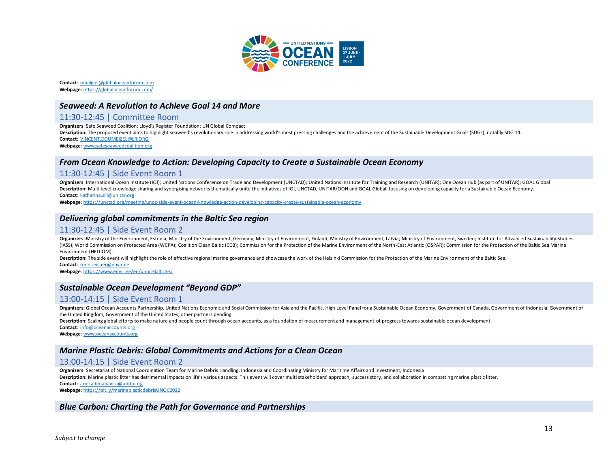

**Contact**: [mbalgos@globaloceanforum.com](mailto:mbalgos@globaloceanforum.com) **Webpage**[: https://globaloceanforum.com/](https://globaloceanforum.com/)

#### *Seaweed: A Revolution to Achieve Goal 14 and More*

#### 11:30-12:45 | Committee Room

**Organizers**: Safe Seaweed Coalition; Lloyd's Register Foundation; UN Global Compact

**Description:** The proposed event aims to highlight seaweed's revolutionary role in addressing world's most pressing challenges and the achievement of the Sustainable Development Goals (SDGs), notably SDG 14. **Contact**: [VINCENT.DOUMEIZEL@LR.ORG](mailto:VINCENT.DOUMEIZEL@LR.ORG)

**Webpage**[: www.safeseaweedcoalition.org](http://www.safeseaweedcoalition.org/)

### *From Ocean Knowledge to Action: Developing Capacity to Create a Sustainable Ocean Economy*

#### 11:30-12:45 | Side Event Room 1

**Organizers**: International Ocean Institute (IOI); United Nations Conference on Trade and Development (UNCTAD); United Nations Institute for Training and Research (UNITAR); One Ocean Hub (as part of UNITAR); GOAL Global **Description:** Multi-level knowledge sharing and synergising networks thematically unite the initiatives of IOI, UNCTAD, UNITAR/OOH and GOAL Global, focusing on developing capacity for a Sustainable Ocean Economy. **Contact**: [katharina.sill@unitar.org](mailto:katharina.sill@unitar.org)

**Webpage**[: https://unctad.org/meeting/unoc-side-event-ocean-knowledge-action-developing-capacity-create-sustainable-ocean-economy](https://unctad.org/meeting/unoc-side-event-ocean-knowledge-action-developing-capacity-create-sustainable-ocean-economy)

### *Delivering global commitments in the Baltic Sea region*

#### 11:30-12:45 | Side Event Room 2

Organizers: Ministry of the Environment, Estonia; Ministry of the Environment, Germany; Ministry of Environment, Finland; Ministry of Environment, Latvia; Ministry of Environment, Saveden; Institute for Advanced Sustainabi (IASS); World Commission on Protected Area (WCPA); Coalition Clean Baltic (CCB); Commission for the Protection of the Marine Environment of the North-East Atlantic (OSPAR); Commission for the Protection of the Baltic Sea M Environment (HELCOM).

Description: The side event will highlight the role of effective regional marine governance and showcase the work of the Helsinki Commission for the Protection of the Marine Environment of the Baltic Sea. **Contact**: [rene.reisner@envir.ee](mailto:rene.reisner@envir.ee)

**Webpage**[: https://www.envir.ee/en/unoc-BalticSea](https://www.envir.ee/en/unoc-BalticSea)

### *Sustainable Ocean Development "Beyond GDP"*

### 13:00-14:15 | Side Event Room 1

Organizers: Global Ocean Accounts Partnership, United Nations Economic and Social Commission for Asia and the Pacific, High Level Panel for a Sustainable Ocean Economy, Government of Canada, Government of Indonesia, Govern the United Kingdom, Government of the United States, other partners pending

**Description:** Scaling global efforts to make nature and people count through ocean accounts, as a foundation of measurement and management of progress towards sustainable ocean development

**Contact**: [info@oceanaccounts.org](mailto:info@oceanaccounts.org)

**Webpage**[: www.oceanaccounts.org](http://www.oceanaccounts.org/)

## *Marine Plastic Debris: Global Commitments and Actions for a Clean Ocean*

#### 13:00-14:15 | Side Event Room 2

**Organizers**: Secretariat of National Coordination Team for Marine Debris Handling, Indonesia and Coordinating Ministry for Maritime Affairs and Investment, Indonesia

**Description:** Marine plastic litter has detrimental impacts on life's various aspects. This event will cover multi stakeholders' approach, success story, and collaboration in combatting marine plastic litter.

**Contact**: [ariel.adimahavira@undp.org](mailto:ariel.adimahavira@undp.org)

**Webpage**[: https://bit.ly/marineplasticdebrisUNOC2022](https://bit.ly/marineplasticdebrisUNOC2022)

#### *Blue Carbon: Charting the Path for Governance and Partnerships*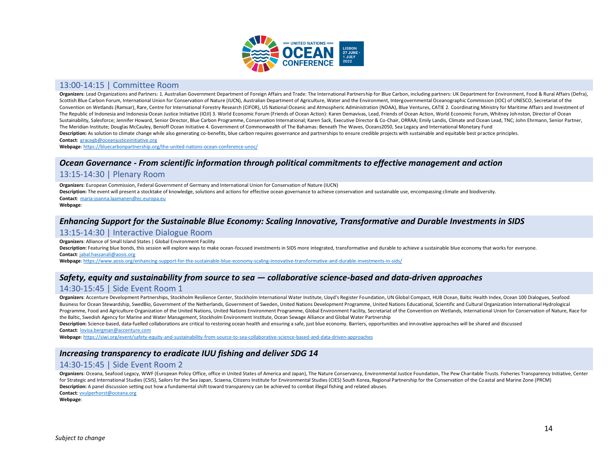

### 13:00-14:15 | Committee Room

Organizers: Lead Organizations and Partners: 1. Australian Government Department of Foreign Affairs and Trade: The International Partnership for Blue Carbon, including partners: UK Department for Environment, Food & Rural Scottish Blue Carbon Forum, International Union for Conservation of Nature (IUCN), Australian Department of Agriculture, Water and the Environment, Intergovernmental Oceanographic Commission (IOC) of UNESCO, Secretariat of Convention on Wetlands (Ramsar), Rare, Centre for International Forestry Research (CIFOR), US National Oceanic and Atmospheric Administration (NOAA), Blue Ventures, CATIE 2. Coordinating Ministry for Maritime Affairs and I The Republic of Indonesia and Indonesia Ocean Justice Initiative (IOJI) 3. World Economic Forum (Friends of Ocean Action): Karen Demavivas, Lead, Friends of Ocean Action, World Economic Forum, Whitney Johnston, Director of Sustainability, Salesforce; Jennifer Howard, Senior Director, Blue Carbon Programme, Conservation International; Karen Sack, Executive Director & Co-Chair, ORRAA; Emily Landis, Climate and Ocean Lead, TNC; John Ehrmann, Se The Meridian Institute; Douglas McCauley, Benioff Ocean Initiative 4. Government of Commonwealth of The Bahamas: Beneath The Waves, Oceans2050, Sea Legacy and International Monetary Fund Description: As solution to climate change while also generating co-benefits, blue carbon requires governance and partnerships to ensure credible projects with sustainable and equitable best practice principles. **Contact**: [gracegb@oceanjusticeinitiative.org](mailto:gracegb@oceanjusticeinitiative.org)

**Webpage**[: https://bluecarbonpartnership.org/the-united-nations-ocean-conference-unoc/](https://bluecarbonpartnership.org/the-united-nations-ocean-conference-unoc/)

#### *Ocean Governance - From scientific information through political commitments to effective management and action*

#### 13:15-14:30 | Plenary Room

**Organizers**: European Commission, Federal Government of Germany and International Union for Conservation of Nature (IUCN) Description: The event will present a stocktake of knowledge, solutions and actions for effective ocean governance to achieve conservation and sustainable use, encompassing climate and biodiversity. **Contact**: [maria-joanna.laamanen@ec.europa.eu](mailto:maria-joanna.laamanen@ec.europa.eu) **Webpage**:

#### *Enhancing Support for the Sustainable Blue Economy: Scaling Innovative, Transformative and Durable Investments in SIDS*

#### 13:15-14:30 | Interactive Dialogue Room

**Organizers**: Alliance of Small Island States | Global Environment Facility

**Description:** Featuring blue bonds, this session will explore ways to make ocean-focused investments in SIDS more integrated, transformative and durable to achieve a sustainable blue economy that works for everyone. **Contact**: [jabal.hassanali@aosis.org](mailto:jabal.hassanali@aosis.org)

**Webpage**[: https://www.aosis.org/enhancing-support-for-the-sustainable-blue-economy-scaling-innovative-transformative-and-durable-investments-in-sids/](https://www.aosis.org/enhancing-support-for-the-sustainable-blue-economy-scaling-innovative-transformative-and-durable-investments-in-sids/)

### *Safety, equity and sustainability from source to sea — collaborative science-based and data-driven approaches*

### 14:30-15:45 | Side Event Room 1

Organizers: Accenture Development Partnerships, Stockholm Resilience Center, Stockholm International Water Institute, Lloyd's Register Foundation, UN Global Compact, HUB Ocean, Baltic Health Index, Ocean 100 Dialogues, Sea Business for Ocean Stewardship, SwedBio, Government of the Netherlands, Government of Sweden, United Nations Development Programme, United Nations Educational, Scientific and Cultural Organization International Hydrological Programme, Food and Agriculture Organization of the United Nations, United Nations Environment Programme, Global Environment Facility, Secretariat of the Convention on Wetlands, International Union for Conservation of Natu the Baltic, Swedish Agency for Marine and Water Management, Stockholm Environment Institute, Ocean Sewage Alliance and Global Water Partnership

Description: Science-based, data-fuelled collaborations are critical to restoring ocean health and ensuring a safe, just blue economy. Barriers, opportunities and innovative approaches will be shared and discussed **Contact**: [lovisa.bergman@accenture.com](mailto:lovisa.bergman@accenture.com)

**Webpage**[: https://siwi.org/event/safety-equity-and-sustainability-from-source-to-sea-collaborative-science-based-and-data-driven-approaches](https://siwi.org/event/safety-equity-and-sustainability-from-source-to-sea-collaborative-science-based-and-data-driven-approaches)

#### *Increasing transparency to eradicate IUU fishing and deliver SDG 14*

### 14:30-15:45 | Side Event Room 2

Organizers: Oceana, Seafood Legacy, WWF (European Policy Office, office in United States of America and Japan), The Nature Conservancy, Environmental Justice Foundation, The Pew Charitable Trusts. Fisheries Transparency In for Strategic and International Studies (CSIS), Sailors for the Sea Japan, Sciaena, Citizens Institute for Environmental Studies (CIES) South Korea, Regional Partnership for the Conservation of the Coastal and Marine Zone **Description:** A panel discussion setting out how a fundamental shift toward transparency can be achieved to combat illegal fishing and related abuses.

**Contact**: [vvulperhorst@oceana.org](mailto:vvulperhorst@oceana.org)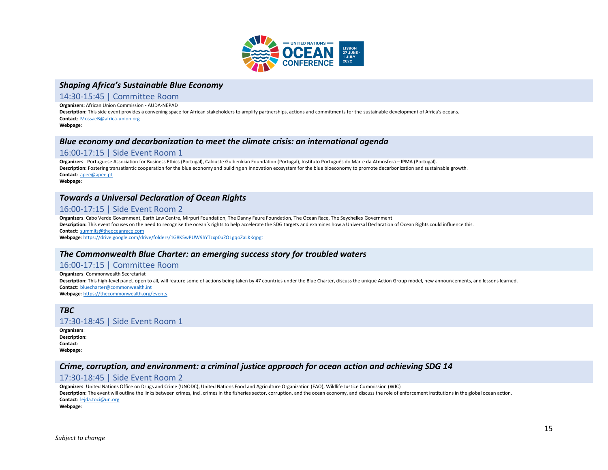

### *Shaping Africa's Sustainable Blue Economy*

#### 14:30-15:45 | Committee Room

**Organizers:** African Union Commission - AUDA-NEPAD

**Description:** This side event provides a convening space for African stakeholders to amplify partnerships, actions and commitments for the sustainable development of Africa's oceans. **Contact**: [MossaeB@africa-union.org](mailto:MossaeB@africa-union.org)

**Webpage**:

#### *Blue economy and decarbonization to meet the climate crisis: an international agenda*

#### 16:00-17:15 | Side Event Room 1

**Organizers**: Portuguese Association for Business Ethics (Portugal), Calouste Gulbenkian Foundation (Portugal), Instituto Português do Mar e da Atmosfera – IPMA (Portugal). **Description:** Fostering transatlantic cooperation for the blue economy and building an innovation ecosystem for the blue bioeconomy to promote decarbonization and sustainable growth. **Contact**: [apee@apee.pt](mailto:apee@apee.pt)

**Webpage**:

# *Towards a Universal Declaration of Ocean Rights*

#### 16:00-17:15 | Side Event Room 2

**Organizers**: Cabo Verde Government, Earth Law Centre, Mirpuri Foundation, The Danny Faure Foundation, The Ocean Race, The Seychelles Government **Description:** This event focuses on the need to recognise the ocean´s rights to help accelerate the SDG targets and examines how a Universal Declaration of Ocean Rights could influence this. **Contact**: [summits@theoceanrace.com](mailto:summits@theoceanrace.com)

**Webpage**[: https://drive.google.com/drive/folders/1G8K5wPUW9hYTzxp0uZO1gqoZaLKKqpgt](https://drive.google.com/drive/folders/1G8K5wPUW9hYTzxp0uZO1gqoZaLKKqpgt)

#### *The Commonwealth Blue Charter: an emerging success story for troubled waters*

#### 16:00-17:15 | Committee Room

**Organizers**: Commonwealth Secretariat Description: This high-level panel, open to all, will feature some of actions being taken by 47 countries under the Blue Charter, discuss the unique Action Group model, new announcements, and lessons learned. **Contact**: [bluecharter@commonwealth.int](mailto:bluecharter@commonwealth.int) **Webpage**[: https://thecommonwealth.org/events](https://thecommonwealth.org/events)

*TBC* 17:30-18:45 | Side Event Room 1

**Organizers**: **Description: Contact**: **Webpage**:

### *Crime, corruption, and environment: a criminal justice approach for ocean action and achieving SDG 14*

### 17:30-18:45 | Side Event Room 2

**Organizers**: United Nations Office on Drugs and Crime (UNODC), United Nations Food and Agriculture Organization (FAO), Wildlife Justice Commission (WJC) Description: The event will outline the links between crimes, incl. crimes in the fisheries sector, corruption, and the ocean economy, and discuss the role of enforcement institutions in the global ocean action. **Contact**: [lejda.toci@un.org](mailto:lejda.toci@un.org) **Webpage**: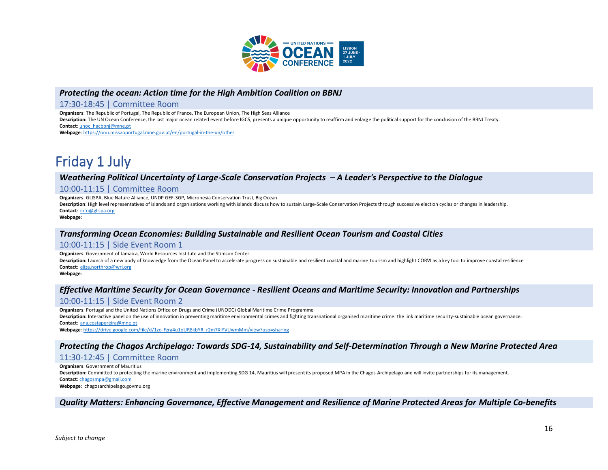

## *Protecting the ocean: Action time for the High Ambition Coalition on BBNJ*

#### 17:30-18:45 | Committee Room

**Organizers**: The Republic of Portugal, The Republic of France, The European Union, The High Seas Alliance

**Description:** The UN Ocean Conference, the last major ocean related event before IGC5, presents a unique opportunity to reaffirm and enlarge the political support for the conclusion of the BBNJ Treaty. **Contact**[: unoc\\_hacbbnj@mne.pt](mailto:unoc_hacbbnj@mne.pt)

**Webpage**[: https://onu.missaoportugal.mne.gov.pt/en/portugal-in-the-un/other](https://onu.missaoportugal.mne.gov.pt/en/portugal-in-the-un/other)

# Friday 1 July

# *Weathering Political Uncertainty of Large-Scale Conservation Projects – A Leader's Perspective to the Dialogue*

#### 10:00-11:15 | Committee Room

**Organizers**: GLISPA, Blue Nature Alliance, UNDP GEF-SGP, Micronesia Conservation Trust, Big Ocean.

**Description**: High level representatives of islands and organisations working with islands discuss how to sustain Large-Scale Conservation Projects through successive election cycles or changes in leadership. **Contact**: [info@glispa.org](mailto:info@glispa.org)

**Webpage**:

### *Transforming Ocean Economies: Building Sustainable and Resilient Ocean Tourism and Coastal Cities*

### 10:00-11:15 | Side Event Room 1

**Organizers**: Government of Jamaica, World Resources Institute and the Stimson Center

Description: Launch of a new body of knowledge from the Ocean Panel to accelerate progress on sustainable and resilient coastal and marine tourism and highlight CORVI as a key tool to improve coastal resilience **Contact**: [eliza.northrop@wri.org](mailto:eliza.northrop@wri.org)

**Webpage**:

# *Effective Maritime Security for Ocean Governance - Resilient Oceans and Maritime Security: Innovation and Partnerships*

#### 10:00-11:15 | Side Event Room 2

**Organizers**: Portugal and the United Nations Office on Drugs and Crime (UNODC) Global Maritime Crime Programme

Description: Interactive panel on the use of innovation in preventing maritime environmental crimes and fighting transnational organised maritime crime: the link maritime security-sustainable ocean governance. **Contact**: [ana.costapereira@mne.pt](mailto:ana.costapereira@mne.pt)

**Webpage**[: https://drive.google.com/file/d/1zo-Fzra4u1oUR8kbYR\\_r2m7XlYVUwmMm/view?usp=sharing](https://drive.google.com/file/d/1zo-Fzra4u1oUR8kbYR_r2m7XlYVUwmMm/view?usp=sharing)

# *Protecting the Chagos Archipelago: Towards SDG-14, Sustainability and Self-Determination Through a New Marine Protected Area*

### 11:30-12:45 | Committee Room

**Organizers**: Government of Mauritius Description: Committed to protecting the marine environment and implementing SDG 14, Mauritius will present its proposed MPA in the Chagos Archipelago and will invite partnerships for its management. **Contact**: [chagosmpa@gmail.com](mailto:chagosmpa@gmail.com) **Webpage**: chagosarchipelago.govmu.org

*Quality Matters: Enhancing Governance, Effective Management and Resilience of Marine Protected Areas for Multiple Co-benefits*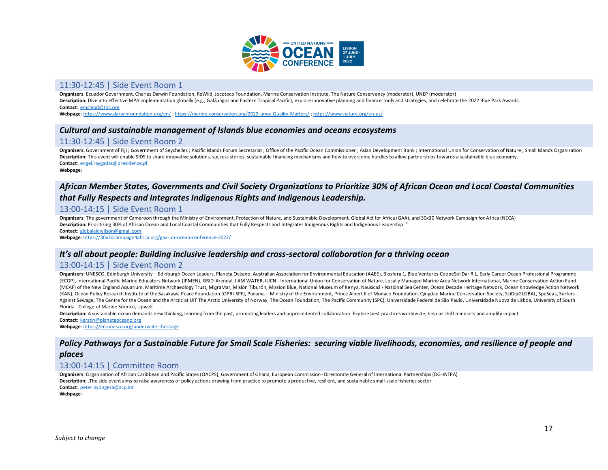

#### 11:30-12:45 | Side Event Room 1

**Organizers**: Ecuador Government, Charles Darwin Foundation, ReWild, Jocotoco Foundation, Marine Conservation Institute, The Nature Conservancy (moderator), UNEP (moderator) Description: Dive into effective MPA implementation globally (e.g., Galápagos and Eastern Tropical Pacific), explore innovative planning and finance tools and strategies, and celebrate the 2022 Blue Park Awards. **Contact**: [emcleod@tnc.org](mailto:emcleod@tnc.org)

**Webpage**[: https://www.darwinfoundation.org/en/](https://www.darwinfoundation.org/en/) [; https://marine-conservation.org/2022-unoc-Quality-Matters/](https://marine-conservation.org/2022-unoc-Quality-Matters/) [; https://www.nature.org/en-us/](https://www.nature.org/en-us/)

# *Cultural and sustainable management of Islands blue economies and oceans ecosystems*

# 11:30-12:45 | Side Event Room 2

Organizers: Government of Fiji ; Government of Seychelles ; Pacific Islands Forum Secretariat ; Office of the Pacific Ocean Commissioner ; Asian Development Bank ; International Union for Conservation of Nature ; Small Isl Description: This event will enable SIDS to share innovative solutions, success stories, sustainable financing mechanisms and how to overcome hurdles to allow partnerships towards a sustainable blue economy. **Contact**: [engel.raygadas@presidence.pf](mailto:engel.raygadas@presidence.pf)

**Webpage**:

# *African Member States, Governments and Civil Society Organizations to Prioritize 30% of African Ocean and Local Coastal Communities that Fully Respects and Integrates Indigenous Rights and Indigenous Leadership.*

### 13:00-14:15 | Side Event Room 1

**Organizers**: The government of Cameroon through the Ministry of Environment, Protection of Nature, and Sustainable Development, Global Aid for Africa (GAA), and 30x30 Network Campaign for Africa (NECA) **Description:** Prioritizing 30% of African Ocean and Local Coastal Communities that Fully Respects and Integrates Indigenous Rights and Indigenous Leadership. " **Contact**: [globalaidwilson@gmail.com](mailto:globalaidwilson@gmail.com)

**Webpage**[: https://30x30campaign4africa.org/gaa-un-ocean-conference-2022/](https://30x30campaign4africa.org/gaa-un-ocean-conference-2022/)

#### *It's all about people: Building inclusive leadership and cross-sectoral collaboration for a thriving ocean*

#### 13:00-14:15 | Side Event Room 2

Organizers: UNESCO, Edinburgh University - Edinburgh Ocean Leaders, Planeta Océano, Australian Association for Environmental Education (AAEE), Biosfera 1, Blue Ventures CoopeSoliDar R.L, Early Career Ocean Professional Pro (ECOP), International Pacific Marine Educators Network (IPMEN), GRID-Arendal, I AM WATER, IUCN - International Union for Conservation of Nature, Locally Managed Marine Area Network International, Marine Conservation Action (MCAF) of the New England Aquarium, Maritime Archaeology Trust, MigraMar, Misión Tiburón, Mission Blue, National Museum of Kenya, Nausicaá - National Sea Center, Ocean Decade Heritage Network, Ocean Knowledge Action Network (KAN), Ocean Policy Research Institute of the Sasakawa Peace Foundation (OPRI-SPF), Panama - Ministry of the Environment, Prince Albert II of Monaco Foundation, Qingdao Marine Conservation Society, SciDipGLOBAL, SpeSeas, S Against Sewage, The Centre for the Ocean and the Arctic at UiT The Arctic University of Norway, The Ocean Foundation, The Pacific Community (SPC), Universidade Federal de São Paulo, Universidade Nuova de Lisboa, University Florida - College of Marine Science, Upwell

**Description:** A sustainable ocean demands new thinking, learning from the past, promoting leaders and unprecedented collaboration. Explore best practices worldwide, help us shift mindsets and amplify impact.

**Contact**: [kerstin@planetaoceano.org](mailto:kerstin@planetaoceano.org)

**Webpage**[: https://en.unesco.org/underwater-heritage](https://en.unesco.org/underwater-heritage)

# *Policy Pathways for a Sustainable Future for Small Scale Fisheries: securing viable livelihoods, economies, and resilience of people and*

# *places*

# 13:00-14:15 | Committee Room

**Organizers**: Organisation of African Caribbean and Pacific States (OACPS), Government of Ghana, European Commission- Directorate General of International Partnerships (DG-INTPA) **Description:** .The side event aims to raise awareness of policy actions drawing from practice to promote a productive, resilient, and sustainable small-scale fisheries sector **Contact**: [peter.nyongesa@acp.int](mailto:peter.nyongesa@acp.int)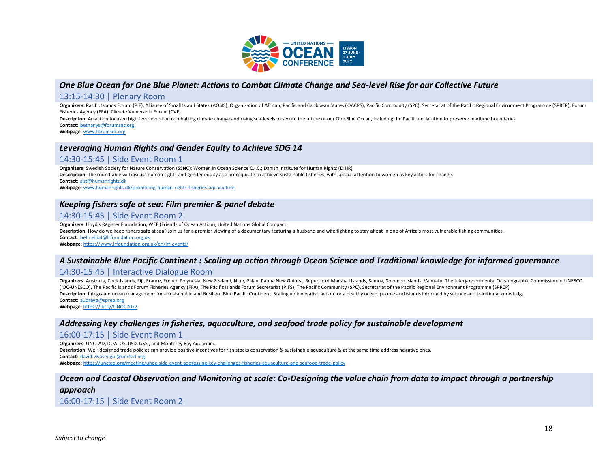

# *One Blue Ocean for One Blue Planet: Actions to Combat Climate Change and Sea-level Rise for our Collective Future*

#### 13:15-14:30 | Plenary Room

Organizers: Pacific Islands Forum (PIF), Alliance of Small Island States (AOSIS), Organisation of African, Pacific and Caribbean States (OACPS), Pacific Community (SPC), Secretariat of the Pacific Regional Environment Prog Fisheries Agency (FFA), Climate Vulnerable Forum (CVF)

**Description:** An action focused high-level event on combatting climate change and rising sea-levels to secure the future of our One Blue Ocean, including the Pacific declaration to preserve maritime boundaries **Contact**: [bethanys@forumsec.org](mailto:bethanys@forumsec.org)

**Webpage**[: www.forumsec.org](http://www.forumsec.org/)

#### *Leveraging Human Rights and Gender Equity to Achieve SDG 14*

#### 14:30-15:45 | Side Event Room 1

**Organizers**: Swedish Society for Nature Conservation (SSNC); Women in Ocean Science C.I.C.; Danish Institute for Human Rights (DIHR) **Description:** The roundtable will discuss human rights and gender equity as a prerequisite to achieve sustainable fisheries, with special attention to women as key actors for change. **Contact**: [sist@humanrights.dk](mailto:sist@humanrights.dk)

**Webpage**[: www.humanrights.dk/promoting-human-rights-fisheries-aquaculture](http://www.humanrights.dk/promoting-human-rights-fisheries-aquaculture)

# *Keeping fishers safe at sea: Film premier & panel debate*

### 14:30-15:45 | Side Event Room 2

**Organizers**: Lloyd's Register Foundation, WEF (Friends of Ocean Action), United Nations Global Compact

**Description:** How do we keep fishers safe at sea? Join us for a premier viewing of a documentary featuring a husband and wife fighting to stay afloat in one of Africa's most vulnerable fishing communities. **Contact**: [beth.elliot@lrfoundation.org.uk](mailto:beth.elliot@lrfoundation.org.uk)

**Webpage**[: https://www.lrfoundation.org.uk/en/lrf-events/](https://www.lrfoundation.org.uk/en/lrf-events/)

### *A Sustainable Blue Pacific Continent : Scaling up action through Ocean Science and Traditional knowledge for informed governance*

#### 14:30-15:45 | Interactive Dialogue Room

Organizers: Australia, Cook Islands, Fiji, France, French Polynesia, New Zealand, Niue, Palau, Papua New Guinea, Republic of Marshall Islands, Samoa, Solomon Islands, Vanuatu, The Intergovernmental Oceanographic Commission (IOC-UNESCO), The Pacific Islands Forum Fisheries Agency (FFA), The Pacific Islands Forum Secretariat (PIFS), The Pacific Community (SPC), Secretariat of the Pacific Regional Environment Programme (SPREP) Description: Integrated ocean management for a sustainable and Resilient Blue Pacific Continent. Scaling up innovative action for a healthy ocean, people and islands informed by science and traditional knowledge **Contact**: [audreyp@sprep.org](mailto:audreyp@sprep.org)

**Webpage**[: https://bit.ly/UNOC2022](https://bit.ly/UNOC2022)

#### *Addressing key challenges in fisheries, aquaculture, and seafood trade policy for sustainable development*

#### 16:00-17:15 | Side Event Room 1

**Organizers**: UNCTAD, DOALOS, IISD, GSSI, and Monterey Bay Aquarium.

**Description:** Well-designed trade policies can provide positive incentives for fish stocks conservation & sustainable aquaculture & at the same time address negative ones.

**Contact**: [david.vivaseugui@unctad.org](mailto:david.vivaseugui@unctad.org)

**Webpage**[: https://unctad.org/meeting/unoc-side-event-addressing-key-challenges-fisheries-aquaculture-and-seafood-trade-policy](https://unctad.org/meeting/unoc-side-event-addressing-key-challenges-fisheries-aquaculture-and-seafood-trade-policy)

# *Ocean and Coastal Observation and Monitoring at scale: Co-Designing the value chain from data to impact through a partnership*

*approach*

16:00-17:15 | Side Event Room 2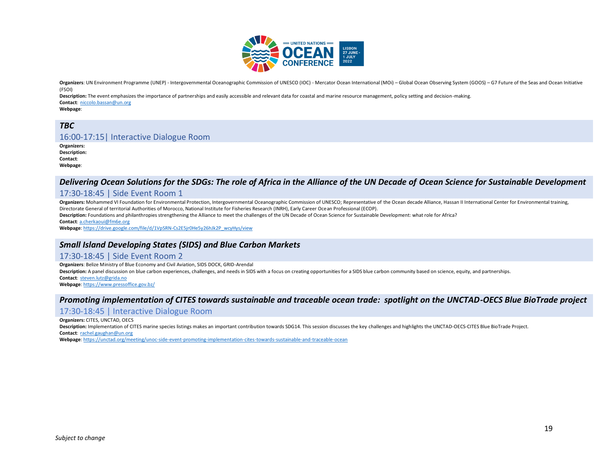

Organizers: UN Environment Programme (UNEP) - Intergovernmental Oceanographic Commission of UNESCO (IOC) - Mercator Ocean International (MOi) - Global Ocean Observing System (GOOS) - G7 Future of the Seas and Ocean Initiat (FSOI)

**Description:** The event emphasizes the importance of partnerships and easily accessible and relevant data for coastal and marine resource management, policy setting and decision-making. **Contact**: [niccolo.bassan@un.org](mailto:niccolo.bassan@un.org)

**Webpage**:

# *TBC*

### 16:00-17:15| Interactive Dialogue Room

**Organizers: Description: Contact**: **Webpage**:

# *Delivering Ocean Solutions for the SDGs: The role of Africa in the Alliance of the UN Decade of Ocean Science for Sustainable Development*

#### 17:30-18:45 | Side Event Room 1

Organizers: Mohammed VI Foundation for Environmental Protection. Intergovernmental Oceanographic Commission of UNESCO: Representative of the Ocean decade Alliance. Hassan II International Center for Environmental training. Directorate General of territorial Authorities of Morocco, National Institute for Fisheries Research (INRH), Early Career Ocean Professional (ECOP).

**Description:** Foundations and philanthropies strengthening the Alliance to meet the challenges of the UN Decade of Ocean Science for Sustainable Development: what role for Africa?

**Contact**: [a.cherkaoui@fm6e.org](mailto:a.cherkaoui@fm6e.org)

**Webpage**[: https://drive.google.com/file/d/1VpSRN-Cs2E5jr0He5y26hJk2P\\_wcyHys/view](https://drive.google.com/file/d/1VpSRN-Cs2E5jr0He5y26hJk2P_wcyHys/view)

#### *Small Island Developing States (SIDS) and Blue Carbon Markets*

#### 17:30-18:45 | Side Event Room 2

**Organizers**: Belize Ministry of Blue Economy and Civil Aviation, SIDS DOCK, GRID-Arendal

Description: A panel discussion on blue carbon experiences, challenges, and needs in SIDS with a focus on creating opportunities for a SIDS blue carbon community based on science, equity, and partnerships. **Contact**: [steven.lutz@grida.no](mailto:steven.lutz@grida.no)

**Webpage**[: https://www.pressoffice.gov.bz/](https://www.pressoffice.gov.bz/)

#### *Promoting implementation of CITES towards sustainable and traceable ocean trade: spotlight on the UNCTAD-OECS Blue BioTrade project*

#### 17:30-18:45 | Interactive Dialogue Room

#### **Organizers:** CITES, UNCTAD, OECS

**Description:** Implementation of CITES marine species listings makes an important contribution towards SDG14. This session discusses the key challenges and highlights the UNCTAD-OECS-CITES Blue BioTrade Project. **Contact**: [rachel.gaughan@un.org](mailto:rachel.gaughan@un.org)

**Webpage**[: https://unctad.org/meeting/unoc-side-event-promoting-implementation-cites-towards-sustainable-and-traceable-ocean](https://unctad.org/meeting/unoc-side-event-promoting-implementation-cites-towards-sustainable-and-traceable-ocean)